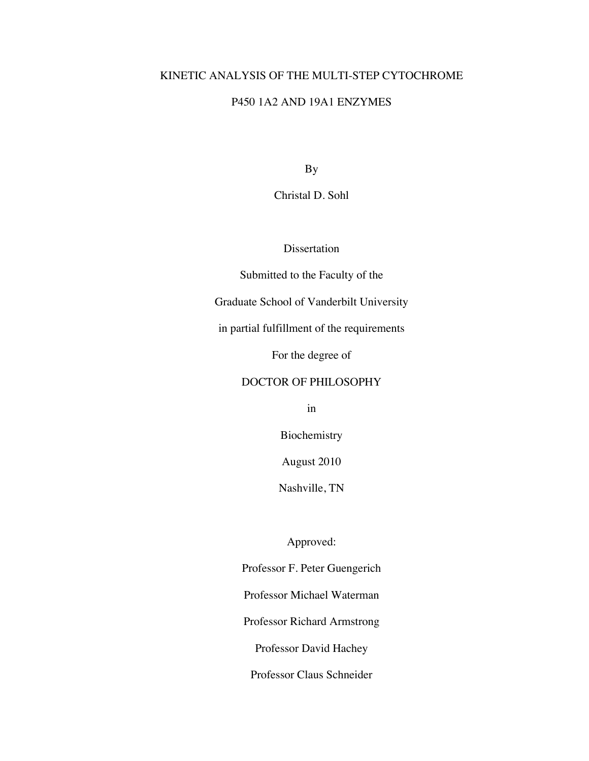### KINETIC ANALYSIS OF THE MULTI-STEP CYTOCHROME

## P450 1A2 AND 19A1 ENZYMES

By

Christal D. Sohl

Dissertation

Submitted to the Faculty of the

Graduate School of Vanderbilt University

in partial fulfillment of the requirements

For the degree of

#### DOCTOR OF PHILOSOPHY

in

Biochemistry

August 2010

Nashville, TN

Approved:

Professor F. Peter Guengerich Professor Michael Waterman

Professor Richard Armstrong

Professor David Hachey

Professor Claus Schneider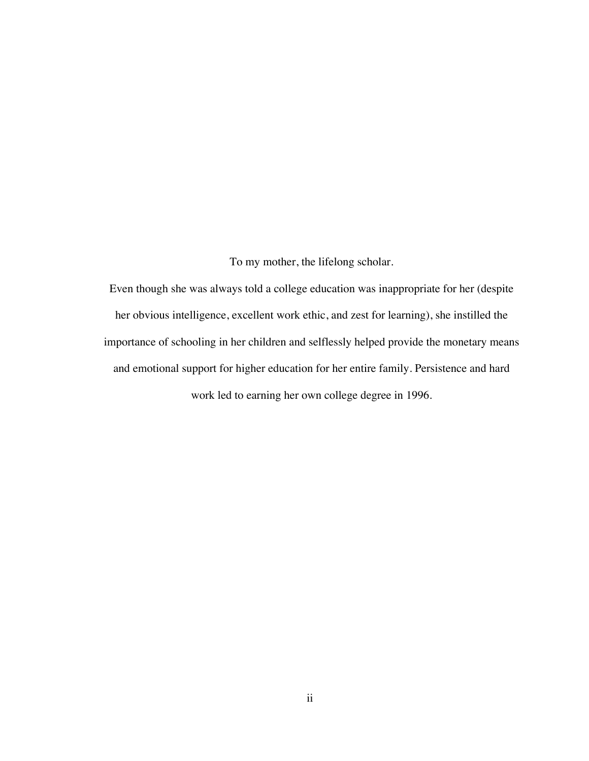To my mother, the lifelong scholar.

Even though she was always told a college education was inappropriate for her (despite her obvious intelligence, excellent work ethic, and zest for learning), she instilled the importance of schooling in her children and selflessly helped provide the monetary means and emotional support for higher education for her entire family. Persistence and hard work led to earning her own college degree in 1996.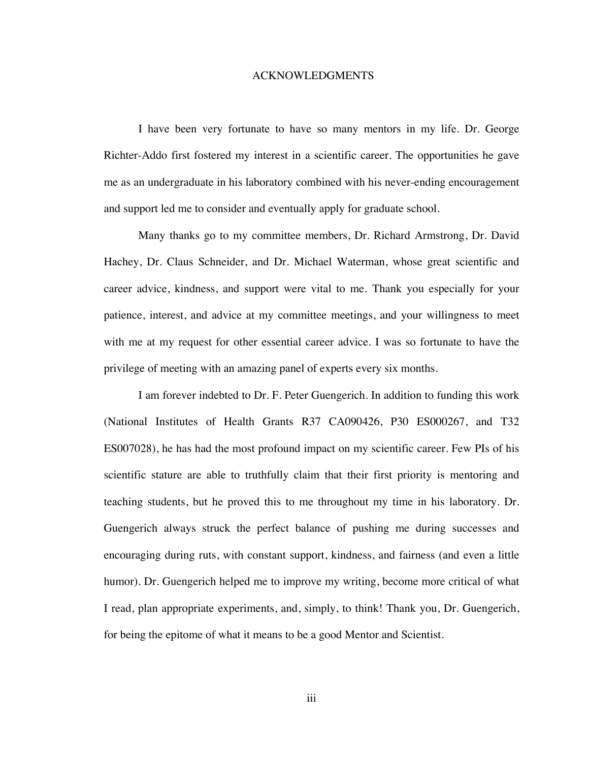#### ACKNOWLEDGMENTS

I have been very fortunate to have so many mentors in my life. Dr. George Richter-Addo first fostered my interest in a scientific career. The opportunities he gave me as an undergraduate in his laboratory combined with his never-ending encouragement and support led me to consider and eventually apply for graduate school.

Many thanks go to my committee members, Dr. Richard Armstrong, Dr. David Hachey, Dr. Claus Schneider, and Dr. Michael Waterman, whose great scientific and career advice, kindness, and support were vital to me. Thank you especially for your patience, interest, and advice at my committee meetings, and your willingness to meet with me at my request for other essential career advice. I was so fortunate to have the privilege of meeting with an amazing panel of experts every six months.

I am forever indebted to Dr. F. Peter Guengerich. In addition to funding this work (National Institutes of Health Grants R37 CA090426, P30 ES000267, and T32 ES007028), he has had the most profound impact on my scientific career. Few PIs of his scientific stature are able to truthfully claim that their first priority is mentoring and teaching students, but he proved this to me throughout my time in his laboratory. Dr. Guengerich always struck the perfect balance of pushing me during successes and encouraging during ruts, with constant support, kindness, and fairness (and even a little humor). Dr. Guengerich helped me to improve my writing, become more critical of what I read, plan appropriate experiments, and, simply, to think! Thank you, Dr. Guengerich, for being the epitome of what it means to be a good Mentor and Scientist.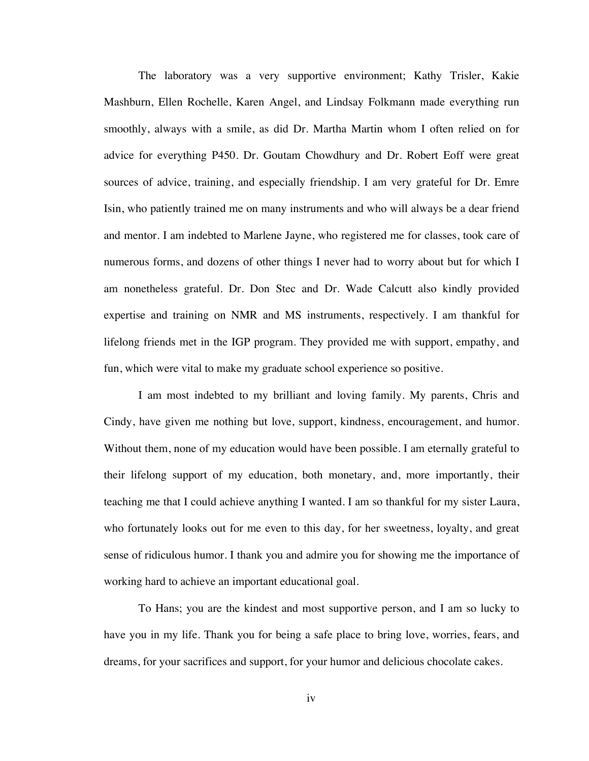The laboratory was a very supportive environment; Kathy Trisler, Kakie Mashburn, Ellen Rochelle, Karen Angel, and Lindsay Folkmann made everything run smoothly, always with a smile, as did Dr. Martha Martin whom I often relied on for advice for everything P450. Dr. Goutam Chowdhury and Dr. Robert Eoff were great sources of advice, training, and especially friendship. I am very grateful for Dr. Emre Isin, who patiently trained me on many instruments and who will always be a dear friend and mentor. I am indebted to Marlene Jayne, who registered me for classes, took care of numerous forms, and dozens of other things I never had to worry about but for which I am nonetheless grateful. Dr. Don Stec and Dr. Wade Calcutt also kindly provided expertise and training on NMR and MS instruments, respectively. I am thankful for lifelong friends met in the IGP program. They provided me with support, empathy, and fun, which were vital to make my graduate school experience so positive.

I am most indebted to my brilliant and loving family. My parents, Chris and Cindy, have given me nothing but love, support, kindness, encouragement, and humor. Without them, none of my education would have been possible. I am eternally grateful to their lifelong support of my education, both monetary, and, more importantly, their teaching me that I could achieve anything I wanted. I am so thankful for my sister Laura, who fortunately looks out for me even to this day, for her sweetness, loyalty, and great sense of ridiculous humor. I thank you and admire you for showing me the importance of working hard to achieve an important educational goal.

To Hans; you are the kindest and most supportive person, and I am so lucky to have you in my life. Thank you for being a safe place to bring love, worries, fears, and dreams, for your sacrifices and support, for your humor and delicious chocolate cakes.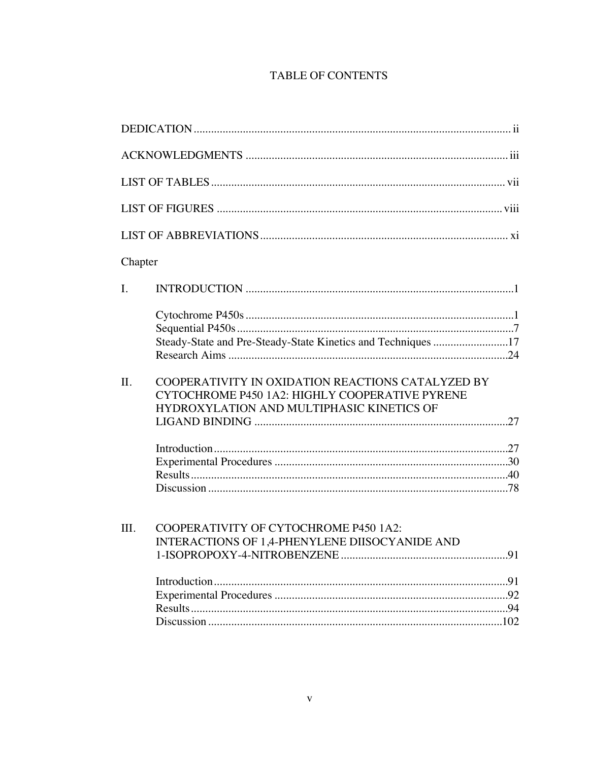## **TABLE OF CONTENTS**

| Chapter        |                                                                                                                                                  |     |
|----------------|--------------------------------------------------------------------------------------------------------------------------------------------------|-----|
| $\mathbf{I}$ . |                                                                                                                                                  |     |
|                | Steady-State and Pre-Steady-State Kinetics and Techniques 17                                                                                     |     |
| II.            | COOPERATIVITY IN OXIDATION REACTIONS CATALYZED BY<br>CYTOCHROME P450 1A2: HIGHLY COOPERATIVE PYRENE<br>HYDROXYLATION AND MULTIPHASIC KINETICS OF |     |
|                |                                                                                                                                                  |     |
| III.           | COOPERATIVITY OF CYTOCHROME P450 1A2:<br>INTERACTIONS OF 1,4-PHENYLENE DIISOCYANIDE AND                                                          | .91 |
|                |                                                                                                                                                  |     |
|                |                                                                                                                                                  |     |
|                |                                                                                                                                                  |     |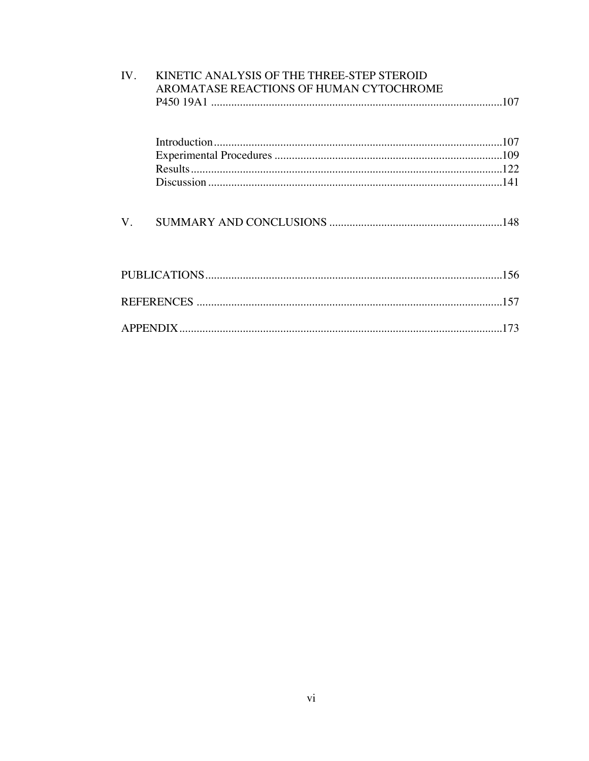| IV. | KINETIC ANALYSIS OF THE THREE-STEP STEROID<br>AROMATASE REACTIONS OF HUMAN CYTOCHROME |     |
|-----|---------------------------------------------------------------------------------------|-----|
|     |                                                                                       |     |
|     |                                                                                       |     |
|     |                                                                                       |     |
|     |                                                                                       |     |
|     |                                                                                       |     |
| V.  |                                                                                       |     |
|     |                                                                                       |     |
|     |                                                                                       |     |
|     |                                                                                       | 173 |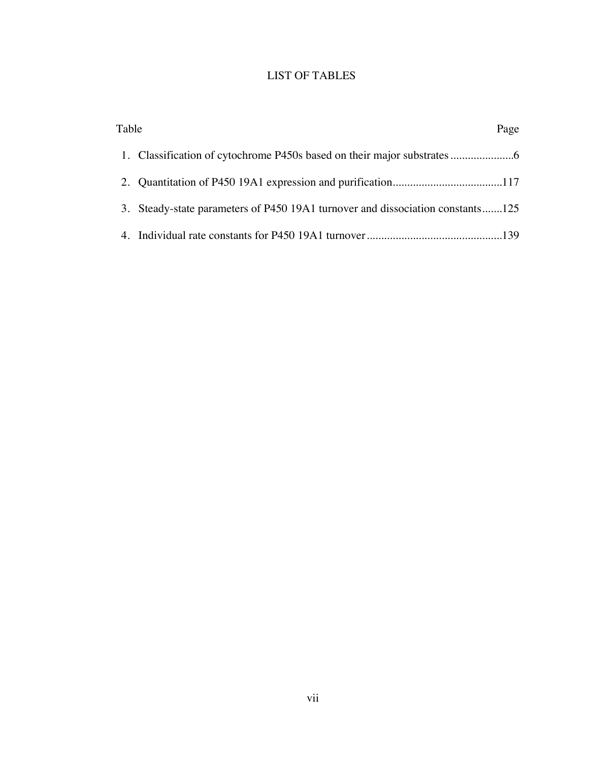# LIST OF TABLES

| Table | Page                                                                           |
|-------|--------------------------------------------------------------------------------|
|       |                                                                                |
|       |                                                                                |
|       | 3. Steady-state parameters of P450 19A1 turnover and dissociation constants125 |
|       |                                                                                |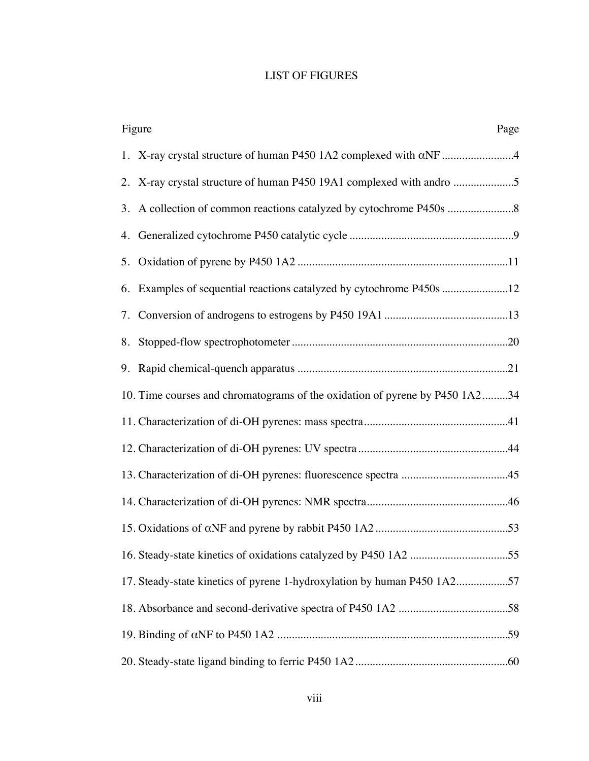## LIST OF FIGURES

| Figure<br>Page                                                              |
|-----------------------------------------------------------------------------|
| 1. X-ray crystal structure of human P450 1A2 complexed with αNF 4           |
| 2. X-ray crystal structure of human P450 19A1 complexed with andro          |
|                                                                             |
|                                                                             |
|                                                                             |
| 6. Examples of sequential reactions catalyzed by cytochrome P450s 12        |
|                                                                             |
|                                                                             |
|                                                                             |
| 10. Time courses and chromatograms of the oxidation of pyrene by P450 1A234 |
|                                                                             |
|                                                                             |
|                                                                             |
|                                                                             |
|                                                                             |
|                                                                             |
| 17. Steady-state kinetics of pyrene 1-hydroxylation by human P450 1A257     |
|                                                                             |
|                                                                             |
|                                                                             |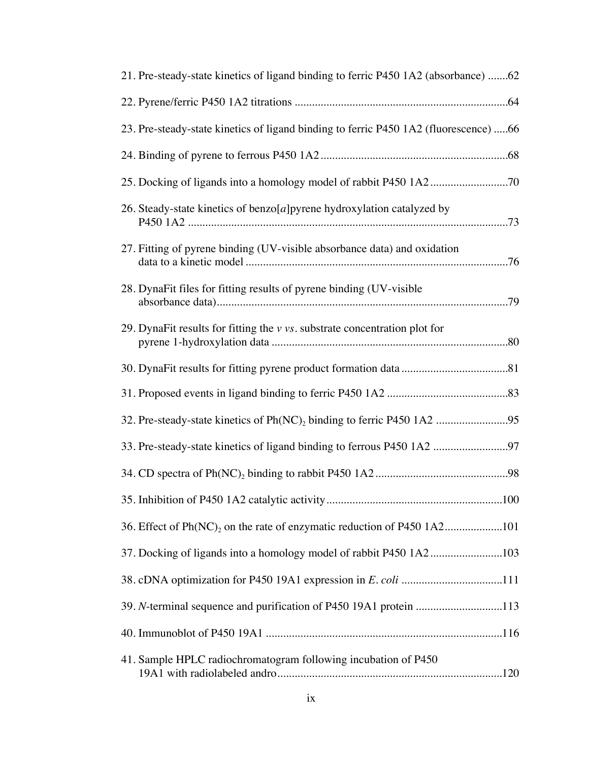| 21. Pre-steady-state kinetics of ligand binding to ferric P450 1A2 (absorbance) 62   |
|--------------------------------------------------------------------------------------|
|                                                                                      |
| 23. Pre-steady-state kinetics of ligand binding to ferric P450 1A2 (fluorescence) 66 |
|                                                                                      |
|                                                                                      |
| 26. Steady-state kinetics of benzo $[a]$ pyrene hydroxylation catalyzed by           |
| 27. Fitting of pyrene binding (UV-visible absorbance data) and oxidation             |
| 28. DynaFit files for fitting results of pyrene binding (UV-visible                  |
| 29. DynaFit results for fitting the $v$ vs. substrate concentration plot for         |
|                                                                                      |
|                                                                                      |
| 32. Pre-steady-state kinetics of Ph(NC) <sub>2</sub> binding to ferric P450 1A2 95   |
| 33. Pre-steady-state kinetics of ligand binding to ferrous P450 1A2 97               |
|                                                                                      |
|                                                                                      |
|                                                                                      |
| 37. Docking of ligands into a homology model of rabbit P450 1A2103                   |
| 38. cDNA optimization for P450 19A1 expression in E. coli 111                        |
| 39. N-terminal sequence and purification of P450 19A1 protein 113                    |
|                                                                                      |
| 41. Sample HPLC radiochromatogram following incubation of P450                       |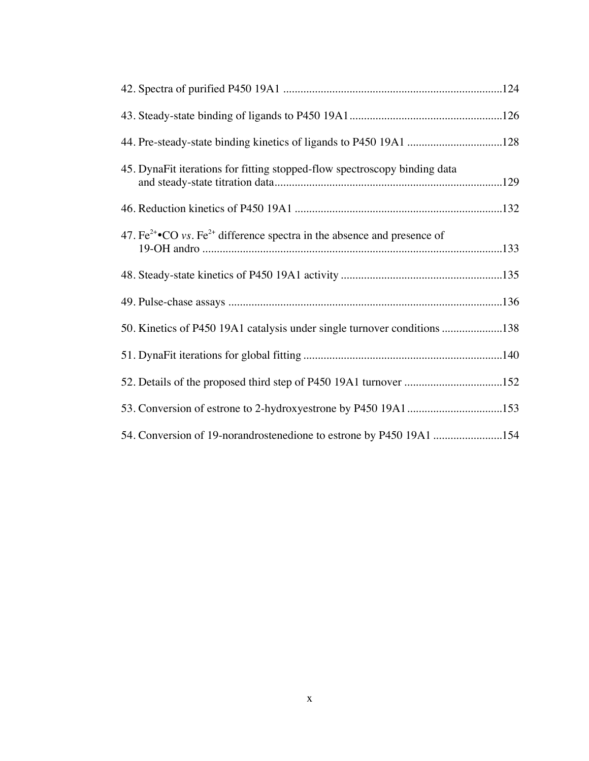| 45. DynaFit iterations for fitting stopped-flow spectroscopy binding data                             |  |
|-------------------------------------------------------------------------------------------------------|--|
|                                                                                                       |  |
| 47. $\text{Fe}^{2+}\bullet$ CO vs. $\text{Fe}^{2+}$ difference spectra in the absence and presence of |  |
|                                                                                                       |  |
|                                                                                                       |  |
| 50. Kinetics of P450 19A1 catalysis under single turnover conditions 138                              |  |
|                                                                                                       |  |
| 52. Details of the proposed third step of P450 19A1 turnover 152                                      |  |
| 53. Conversion of estrone to 2-hydroxyestrone by P450 19A1153                                         |  |
| 54. Conversion of 19-norandrostenedione to estrone by P450 19A1 154                                   |  |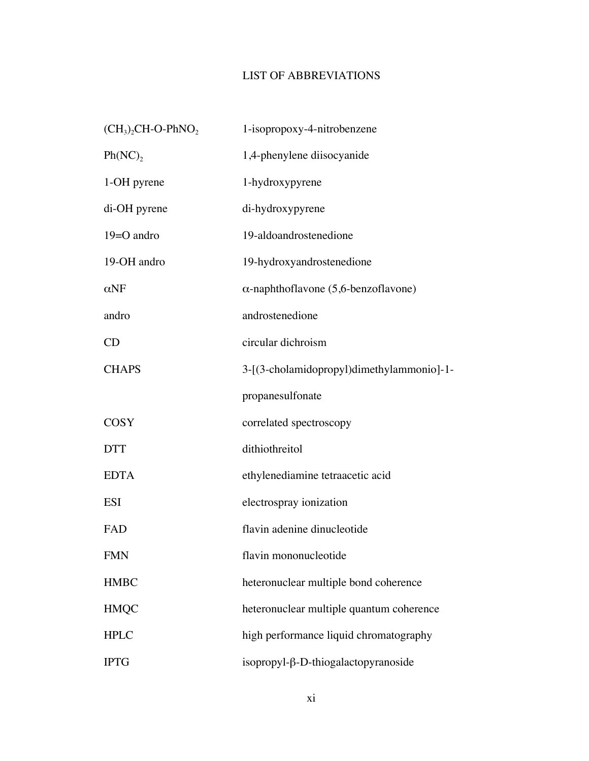## LIST OF ABBREVIATIONS

| $(CH3)2CH-O-PhNO2$    | 1-isopropoxy-4-nitrobenzene                 |
|-----------------------|---------------------------------------------|
| $Ph(NC)$ <sub>2</sub> | 1,4-phenylene diisocyanide                  |
| 1-OH pyrene           | 1-hydroxypyrene                             |
| di-OH pyrene          | di-hydroxypyrene                            |
| $19 = O$ andro        | 19-aldoandrostenedione                      |
| 19-OH andro           | 19-hydroxyandrostenedione                   |
| $\alpha$ NF           | $\alpha$ -naphthoflavone (5,6-benzoflavone) |
| andro                 | androstenedione                             |
| CD                    | circular dichroism                          |
| <b>CHAPS</b>          | 3-[(3-cholamidopropyl)dimethylammonio]-1-   |
|                       | propanesulfonate                            |
| <b>COSY</b>           | correlated spectroscopy                     |
| <b>DTT</b>            | dithiothreitol                              |
| <b>EDTA</b>           | ethylenediamine tetraacetic acid            |
| <b>ESI</b>            | electrospray ionization                     |
| FAD                   | flavin adenine dinucleotide                 |
| <b>FMN</b>            | flavin mononucleotide                       |
| <b>HMBC</b>           | heteronuclear multiple bond coherence       |
| <b>HMQC</b>           | heteronuclear multiple quantum coherence    |
| <b>HPLC</b>           | high performance liquid chromatography      |
| <b>IPTG</b>           | isopropyl-β-D-thiogalactopyranoside         |